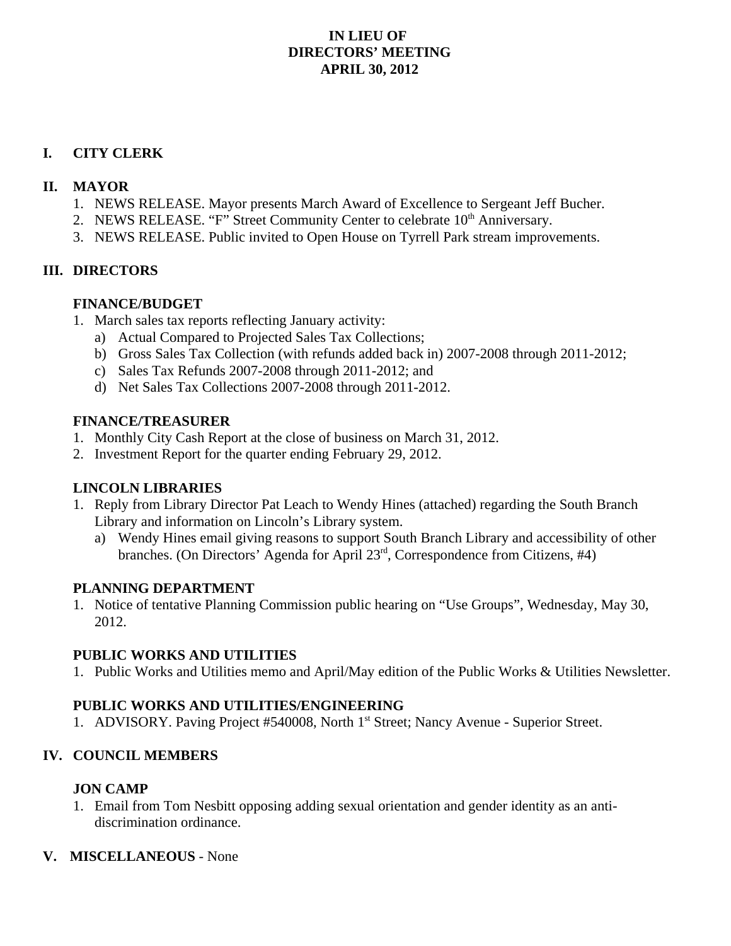## **IN LIEU OF DIRECTORS' MEETING APRIL 30, 2012**

### **I. CITY CLERK**

### **II. MAYOR**

- 1. NEWS RELEASE. Mayor presents March Award of Excellence to Sergeant Jeff Bucher.
- 2. NEWS RELEASE. "F" Street Community Center to celebrate 10<sup>th</sup> Anniversary.
- 3. NEWS RELEASE. Public invited to Open House on Tyrrell Park stream improvements.

### **III. DIRECTORS**

### **FINANCE/BUDGET**

- 1. March sales tax reports reflecting January activity:
	- a) Actual Compared to Projected Sales Tax Collections;
	- b) Gross Sales Tax Collection (with refunds added back in) 2007-2008 through 2011-2012;
	- c) Sales Tax Refunds 2007-2008 through 2011-2012; and
	- d) Net Sales Tax Collections 2007-2008 through 2011-2012.

### **FINANCE/TREASURER**

- 1. Monthly City Cash Report at the close of business on March 31, 2012.
- 2. Investment Report for the quarter ending February 29, 2012.

# **LINCOLN LIBRARIES**

- 1. Reply from Library Director Pat Leach to Wendy Hines (attached) regarding the South Branch Library and information on Lincoln's Library system.
	- a) Wendy Hines email giving reasons to support South Branch Library and accessibility of other branches. (On Directors' Agenda for April 23rd, Correspondence from Citizens, #4)

### **PLANNING DEPARTMENT**

1. Notice of tentative Planning Commission public hearing on "Use Groups", Wednesday, May 30, 2012.

### **PUBLIC WORKS AND UTILITIES**

1. Public Works and Utilities memo and April/May edition of the Public Works & Utilities Newsletter.

# **PUBLIC WORKS AND UTILITIES/ENGINEERING**

1. ADVISORY. Paving Project #540008, North 1st Street; Nancy Avenue - Superior Street.

# **IV. COUNCIL MEMBERS**

# **JON CAMP**

1. Email from Tom Nesbitt opposing adding sexual orientation and gender identity as an antidiscrimination ordinance.

# **V. MISCELLANEOUS** - None